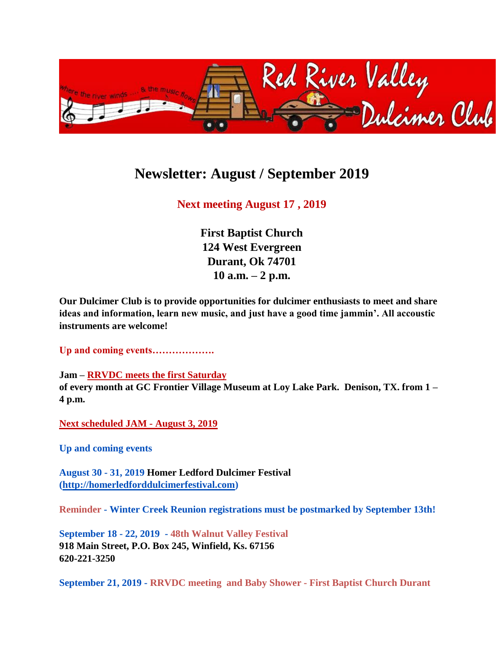

## **Newsletter: August / September 2019**

## **Next meeting August 17 , 2019**

**First Baptist Church 124 West Evergreen Durant, Ok 74701 10 a.m. – 2 p.m.** 

**Our Dulcimer Club is to provide opportunities for dulcimer enthusiasts to meet and share ideas and information, learn new music, and just have a good time jammin'. All accoustic instruments are welcome!**

**Up and coming events……………….**

**Jam – RRVDC meets the first Saturday of every month at GC Frontier Village Museum at Loy Lake Park. Denison, TX. from 1 – 4 p.m.**

**Next scheduled JAM - August 3, 2019**

**Up and coming events**

**August 30 - 31, 2019 Homer Ledford Dulcimer Festival [\(http://homerledforddulcimerfestival.com\)](http://homerledforddulcimerfestival.com/)**

**Reminder - Winter Creek Reunion registrations must be postmarked by September 13th!**

**September 18 - 22, 2019 - 48th Walnut Valley Festival 918 Main Street, P.O. Box 245, Winfield, Ks. 67156 620-221-3250**

**September 21, 2019 - RRVDC meeting and Baby Shower - First Baptist Church Durant**